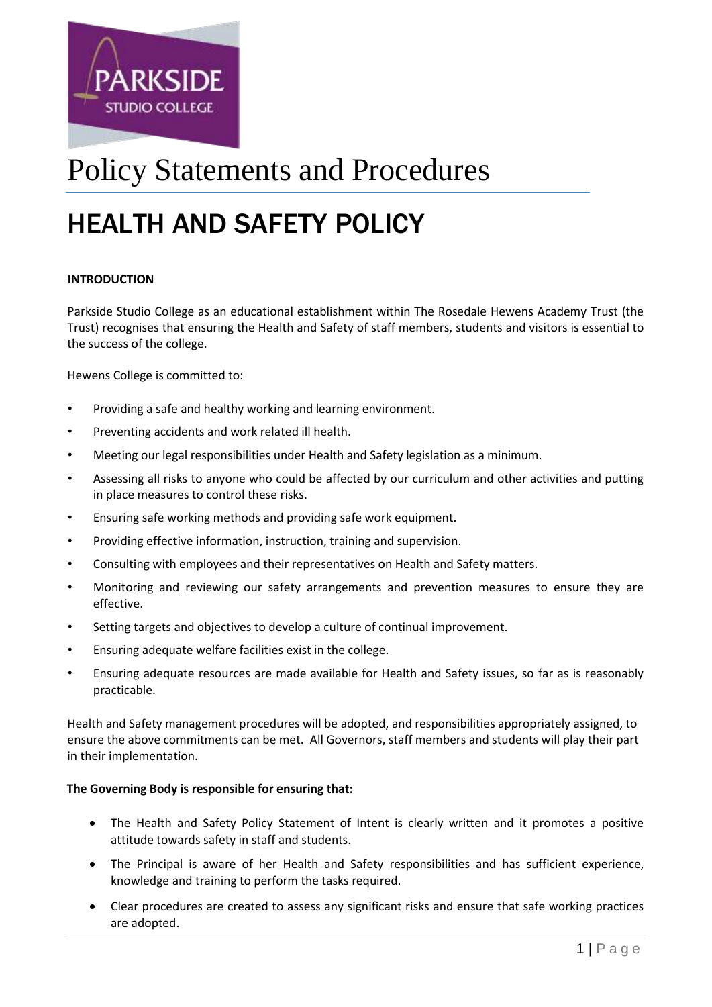

# Policy Statements and Procedures

# HEALTH AND SAFETY POLICY

## **INTRODUCTION**

Parkside Studio College as an educational establishment within The Rosedale Hewens Academy Trust (the Trust) recognises that ensuring the Health and Safety of staff members, students and visitors is essential to the success of the college.

Hewens College is committed to:

- Providing a safe and healthy working and learning environment.
- Preventing accidents and work related ill health.
- Meeting our legal responsibilities under Health and Safety legislation as a minimum.
- Assessing all risks to anyone who could be affected by our curriculum and other activities and putting in place measures to control these risks.
- Ensuring safe working methods and providing safe work equipment.
- Providing effective information, instruction, training and supervision.
- Consulting with employees and their representatives on Health and Safety matters.
- Monitoring and reviewing our safety arrangements and prevention measures to ensure they are effective.
- Setting targets and objectives to develop a culture of continual improvement.
- Ensuring adequate welfare facilities exist in the college.
- Ensuring adequate resources are made available for Health and Safety issues, so far as is reasonably practicable.

Health and Safety management procedures will be adopted, and responsibilities appropriately assigned, to ensure the above commitments can be met. All Governors, staff members and students will play their part in their implementation.

#### **The Governing Body is responsible for ensuring that:**

- The Health and Safety Policy Statement of Intent is clearly written and it promotes a positive attitude towards safety in staff and students.
- The Principal is aware of her Health and Safety responsibilities and has sufficient experience, knowledge and training to perform the tasks required.
- Clear procedures are created to assess any significant risks and ensure that safe working practices are adopted.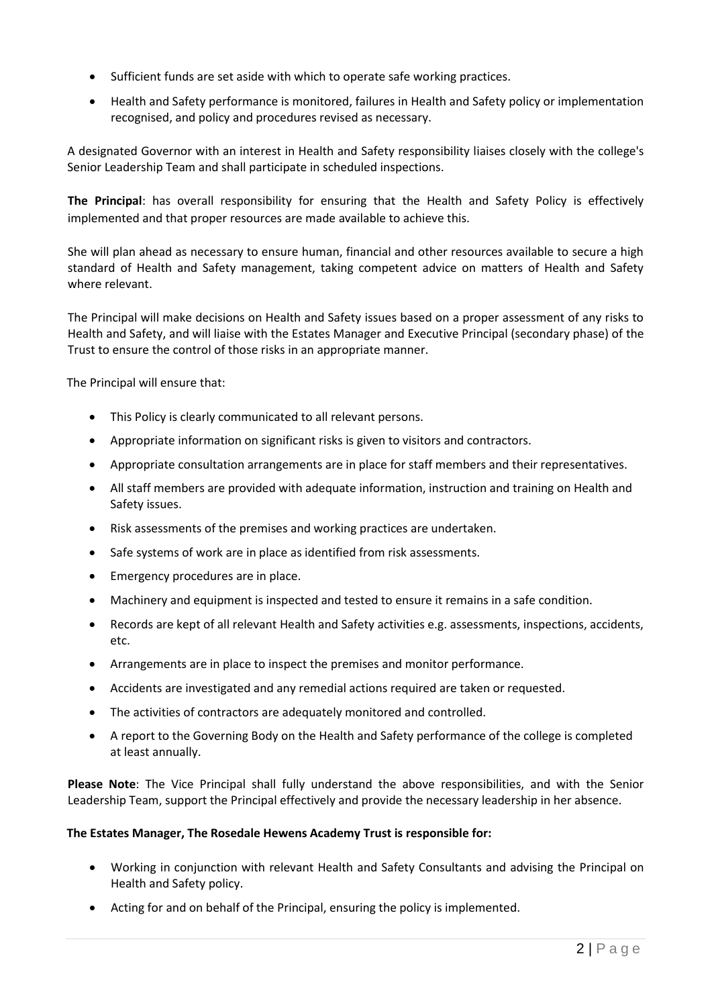- Sufficient funds are set aside with which to operate safe working practices.
- Health and Safety performance is monitored, failures in Health and Safety policy or implementation recognised, and policy and procedures revised as necessary.

A designated Governor with an interest in Health and Safety responsibility liaises closely with the college's Senior Leadership Team and shall participate in scheduled inspections.

**The Principal**: has overall responsibility for ensuring that the Health and Safety Policy is effectively implemented and that proper resources are made available to achieve this.

She will plan ahead as necessary to ensure human, financial and other resources available to secure a high standard of Health and Safety management, taking competent advice on matters of Health and Safety where relevant.

The Principal will make decisions on Health and Safety issues based on a proper assessment of any risks to Health and Safety, and will liaise with the Estates Manager and Executive Principal (secondary phase) of the Trust to ensure the control of those risks in an appropriate manner.

The Principal will ensure that:

- This Policy is clearly communicated to all relevant persons.
- Appropriate information on significant risks is given to visitors and contractors.
- Appropriate consultation arrangements are in place for staff members and their representatives.
- All staff members are provided with adequate information, instruction and training on Health and Safety issues.
- Risk assessments of the premises and working practices are undertaken.
- Safe systems of work are in place as identified from risk assessments.
- Emergency procedures are in place.
- Machinery and equipment is inspected and tested to ensure it remains in a safe condition.
- Records are kept of all relevant Health and Safety activities e.g. assessments, inspections, accidents, etc.
- Arrangements are in place to inspect the premises and monitor performance.
- Accidents are investigated and any remedial actions required are taken or requested.
- The activities of contractors are adequately monitored and controlled.
- A report to the Governing Body on the Health and Safety performance of the college is completed at least annually.

**Please Note**: The Vice Principal shall fully understand the above responsibilities, and with the Senior Leadership Team, support the Principal effectively and provide the necessary leadership in her absence.

# **The Estates Manager, The Rosedale Hewens Academy Trust is responsible for:**

- Working in conjunction with relevant Health and Safety Consultants and advising the Principal on Health and Safety policy.
- Acting for and on behalf of the Principal, ensuring the policy is implemented.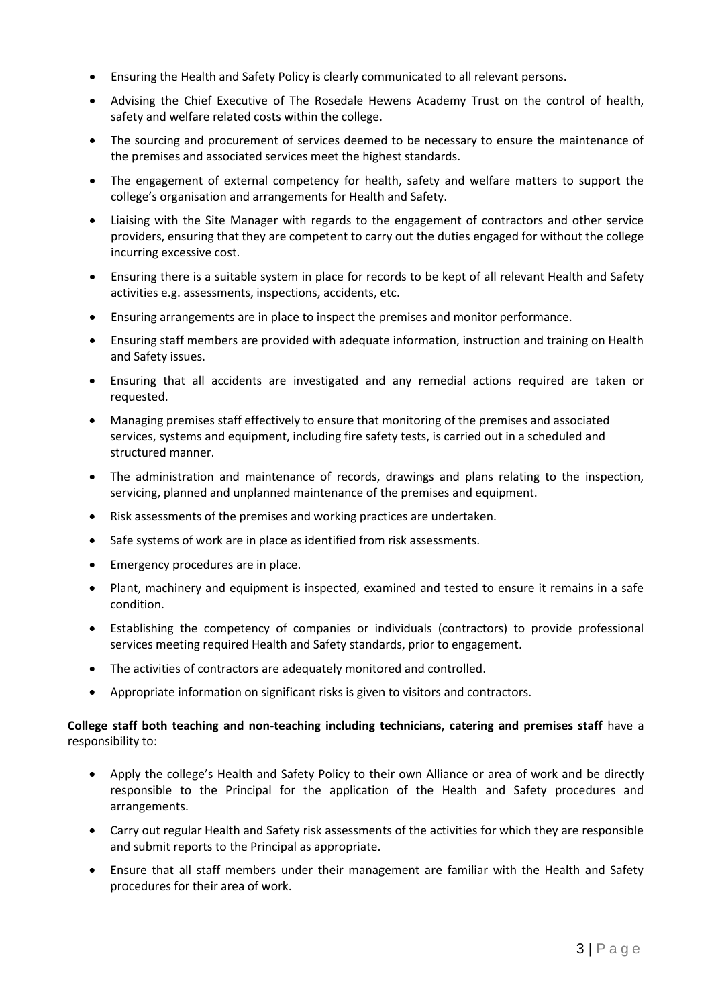- Ensuring the Health and Safety Policy is clearly communicated to all relevant persons.
- Advising the Chief Executive of The Rosedale Hewens Academy Trust on the control of health, safety and welfare related costs within the college.
- The sourcing and procurement of services deemed to be necessary to ensure the maintenance of the premises and associated services meet the highest standards.
- The engagement of external competency for health, safety and welfare matters to support the college's organisation and arrangements for Health and Safety.
- Liaising with the Site Manager with regards to the engagement of contractors and other service providers, ensuring that they are competent to carry out the duties engaged for without the college incurring excessive cost.
- Ensuring there is a suitable system in place for records to be kept of all relevant Health and Safety activities e.g. assessments, inspections, accidents, etc.
- Ensuring arrangements are in place to inspect the premises and monitor performance.
- Ensuring staff members are provided with adequate information, instruction and training on Health and Safety issues.
- Ensuring that all accidents are investigated and any remedial actions required are taken or requested.
- Managing premises staff effectively to ensure that monitoring of the premises and associated services, systems and equipment, including fire safety tests, is carried out in a scheduled and structured manner.
- The administration and maintenance of records, drawings and plans relating to the inspection, servicing, planned and unplanned maintenance of the premises and equipment.
- Risk assessments of the premises and working practices are undertaken.
- Safe systems of work are in place as identified from risk assessments.
- Emergency procedures are in place.
- Plant, machinery and equipment is inspected, examined and tested to ensure it remains in a safe condition.
- Establishing the competency of companies or individuals (contractors) to provide professional services meeting required Health and Safety standards, prior to engagement.
- The activities of contractors are adequately monitored and controlled.
- Appropriate information on significant risks is given to visitors and contractors.

## **College staff both teaching and non-teaching including technicians, catering and premises staff** have a responsibility to:

- Apply the college's Health and Safety Policy to their own Alliance or area of work and be directly responsible to the Principal for the application of the Health and Safety procedures and arrangements.
- Carry out regular Health and Safety risk assessments of the activities for which they are responsible and submit reports to the Principal as appropriate.
- Ensure that all staff members under their management are familiar with the Health and Safety procedures for their area of work.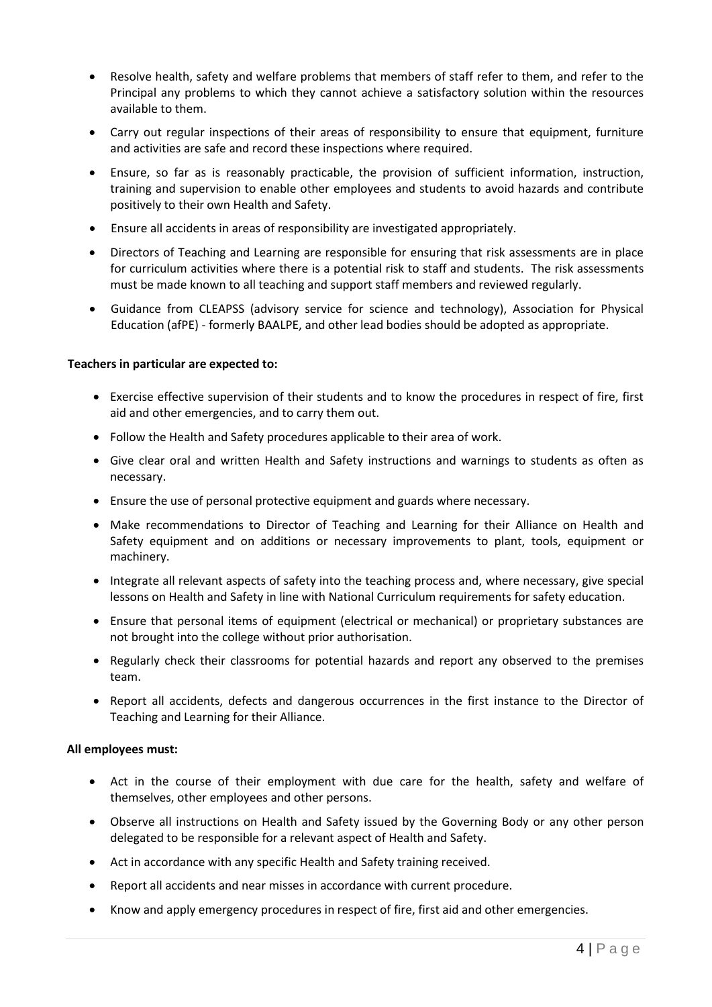- Resolve health, safety and welfare problems that members of staff refer to them, and refer to the Principal any problems to which they cannot achieve a satisfactory solution within the resources available to them.
- Carry out regular inspections of their areas of responsibility to ensure that equipment, furniture and activities are safe and record these inspections where required.
- Ensure, so far as is reasonably practicable, the provision of sufficient information, instruction, training and supervision to enable other employees and students to avoid hazards and contribute positively to their own Health and Safety.
- Ensure all accidents in areas of responsibility are investigated appropriately.
- Directors of Teaching and Learning are responsible for ensuring that risk assessments are in place for curriculum activities where there is a potential risk to staff and students. The risk assessments must be made known to all teaching and support staff members and reviewed regularly.
- Guidance from CLEAPSS (advisory service for science and technology), Association for Physical Education (afPE) - formerly BAALPE, and other lead bodies should be adopted as appropriate.

#### **Teachers in particular are expected to:**

- Exercise effective supervision of their students and to know the procedures in respect of fire, first aid and other emergencies, and to carry them out.
- Follow the Health and Safety procedures applicable to their area of work.
- Give clear oral and written Health and Safety instructions and warnings to students as often as necessary.
- Ensure the use of personal protective equipment and guards where necessary.
- Make recommendations to Director of Teaching and Learning for their Alliance on Health and Safety equipment and on additions or necessary improvements to plant, tools, equipment or machinery.
- Integrate all relevant aspects of safety into the teaching process and, where necessary, give special lessons on Health and Safety in line with National Curriculum requirements for safety education.
- Ensure that personal items of equipment (electrical or mechanical) or proprietary substances are not brought into the college without prior authorisation.
- Regularly check their classrooms for potential hazards and report any observed to the premises team.
- Report all accidents, defects and dangerous occurrences in the first instance to the Director of Teaching and Learning for their Alliance.

#### **All employees must:**

- Act in the course of their employment with due care for the health, safety and welfare of themselves, other employees and other persons.
- Observe all instructions on Health and Safety issued by the Governing Body or any other person delegated to be responsible for a relevant aspect of Health and Safety.
- Act in accordance with any specific Health and Safety training received.
- Report all accidents and near misses in accordance with current procedure.
- Know and apply emergency procedures in respect of fire, first aid and other emergencies.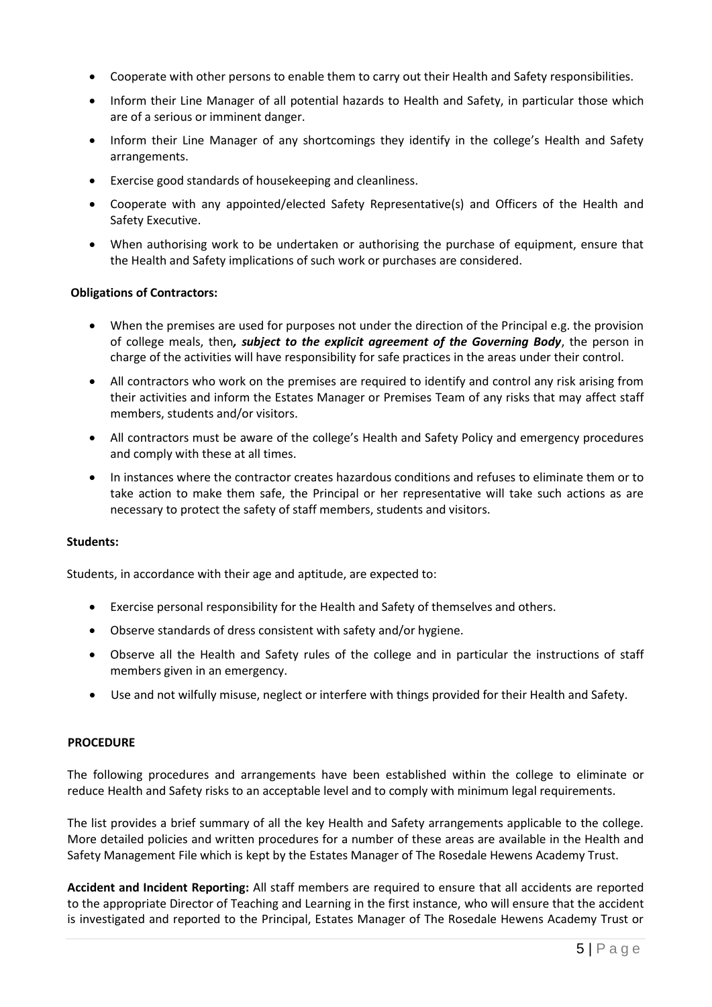- Cooperate with other persons to enable them to carry out their Health and Safety responsibilities.
- Inform their Line Manager of all potential hazards to Health and Safety, in particular those which are of a serious or imminent danger.
- Inform their Line Manager of any shortcomings they identify in the college's Health and Safety arrangements.
- Exercise good standards of housekeeping and cleanliness.
- Cooperate with any appointed/elected Safety Representative(s) and Officers of the Health and Safety Executive.
- When authorising work to be undertaken or authorising the purchase of equipment, ensure that the Health and Safety implications of such work or purchases are considered.

# **Obligations of Contractors:**

- When the premises are used for purposes not under the direction of the Principal e.g. the provision of college meals, then*, subject to the explicit agreement of the Governing Body*, the person in charge of the activities will have responsibility for safe practices in the areas under their control.
- All contractors who work on the premises are required to identify and control any risk arising from their activities and inform the Estates Manager or Premises Team of any risks that may affect staff members, students and/or visitors.
- All contractors must be aware of the college's Health and Safety Policy and emergency procedures and comply with these at all times.
- In instances where the contractor creates hazardous conditions and refuses to eliminate them or to take action to make them safe, the Principal or her representative will take such actions as are necessary to protect the safety of staff members, students and visitors.

#### **Students:**

Students, in accordance with their age and aptitude, are expected to:

- Exercise personal responsibility for the Health and Safety of themselves and others.
- Observe standards of dress consistent with safety and/or hygiene.
- Observe all the Health and Safety rules of the college and in particular the instructions of staff members given in an emergency.
- Use and not wilfully misuse, neglect or interfere with things provided for their Health and Safety.

# **PROCEDURE**

The following procedures and arrangements have been established within the college to eliminate or reduce Health and Safety risks to an acceptable level and to comply with minimum legal requirements.

The list provides a brief summary of all the key Health and Safety arrangements applicable to the college. More detailed policies and written procedures for a number of these areas are available in the Health and Safety Management File which is kept by the Estates Manager of The Rosedale Hewens Academy Trust.

**Accident and Incident Reporting:** All staff members are required to ensure that all accidents are reported to the appropriate Director of Teaching and Learning in the first instance, who will ensure that the accident is investigated and reported to the Principal, Estates Manager of The Rosedale Hewens Academy Trust or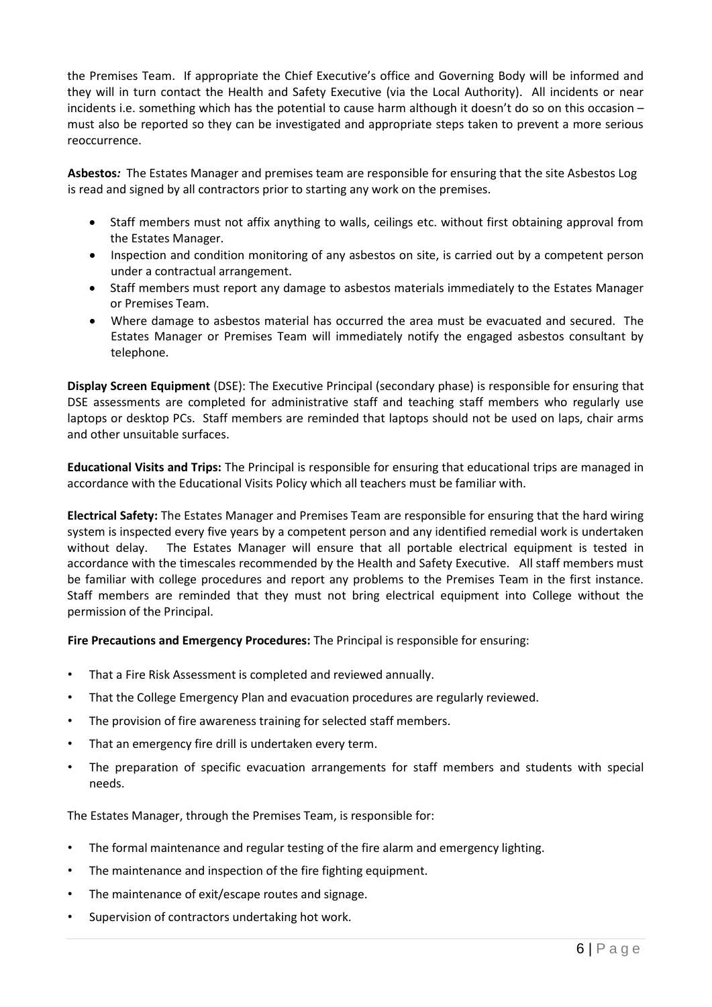the Premises Team. If appropriate the Chief Executive's office and Governing Body will be informed and they will in turn contact the Health and Safety Executive (via the Local Authority). All incidents or near incidents i.e. something which has the potential to cause harm although it doesn't do so on this occasion – must also be reported so they can be investigated and appropriate steps taken to prevent a more serious reoccurrence.

**Asbestos***:* The Estates Manager and premises team are responsible for ensuring that the site Asbestos Log is read and signed by all contractors prior to starting any work on the premises.

- Staff members must not affix anything to walls, ceilings etc. without first obtaining approval from the Estates Manager.
- Inspection and condition monitoring of any asbestos on site, is carried out by a competent person under a contractual arrangement.
- Staff members must report any damage to asbestos materials immediately to the Estates Manager or Premises Team.
- Where damage to asbestos material has occurred the area must be evacuated and secured. The Estates Manager or Premises Team will immediately notify the engaged asbestos consultant by telephone.

**Display Screen Equipment** (DSE): The Executive Principal (secondary phase) is responsible for ensuring that DSE assessments are completed for administrative staff and teaching staff members who regularly use laptops or desktop PCs. Staff members are reminded that laptops should not be used on laps, chair arms and other unsuitable surfaces.

**Educational Visits and Trips:** The Principal is responsible for ensuring that educational trips are managed in accordance with the Educational Visits Policy which all teachers must be familiar with.

**Electrical Safety:** The Estates Manager and Premises Team are responsible for ensuring that the hard wiring system is inspected every five years by a competent person and any identified remedial work is undertaken without delay. The Estates Manager will ensure that all portable electrical equipment is tested in accordance with the timescales recommended by the Health and Safety Executive. All staff members must be familiar with college procedures and report any problems to the Premises Team in the first instance. Staff members are reminded that they must not bring electrical equipment into College without the permission of the Principal.

**Fire Precautions and Emergency Procedures:** The Principal is responsible for ensuring:

- That a Fire Risk Assessment is completed and reviewed annually.
- That the College Emergency Plan and evacuation procedures are regularly reviewed.
- The provision of fire awareness training for selected staff members.
- That an emergency fire drill is undertaken every term.
- The preparation of specific evacuation arrangements for staff members and students with special needs.

The Estates Manager, through the Premises Team, is responsible for:

- The formal maintenance and regular testing of the fire alarm and emergency lighting.
- The maintenance and inspection of the fire fighting equipment.
- The maintenance of exit/escape routes and signage.
- Supervision of contractors undertaking hot work.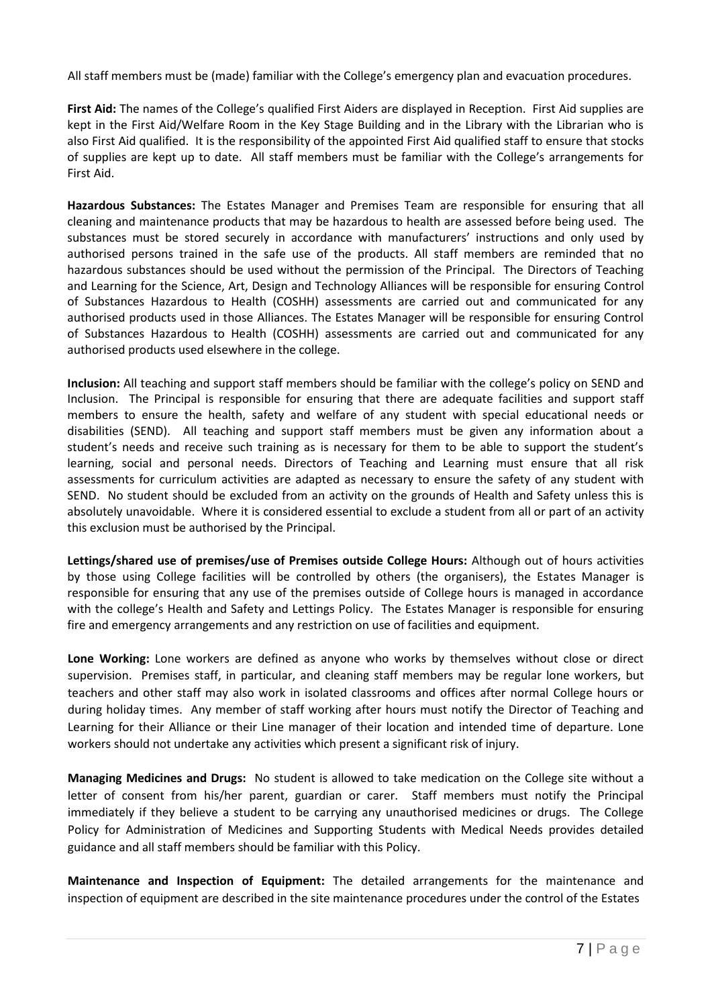All staff members must be (made) familiar with the College's emergency plan and evacuation procedures.

**First Aid:** The names of the College's qualified First Aiders are displayed in Reception. First Aid supplies are kept in the First Aid/Welfare Room in the Key Stage Building and in the Library with the Librarian who is also First Aid qualified. It is the responsibility of the appointed First Aid qualified staff to ensure that stocks of supplies are kept up to date. All staff members must be familiar with the College's arrangements for First Aid.

**Hazardous Substances:** The Estates Manager and Premises Team are responsible for ensuring that all cleaning and maintenance products that may be hazardous to health are assessed before being used. The substances must be stored securely in accordance with manufacturers' instructions and only used by authorised persons trained in the safe use of the products. All staff members are reminded that no hazardous substances should be used without the permission of the Principal. The Directors of Teaching and Learning for the Science, Art, Design and Technology Alliances will be responsible for ensuring Control of Substances Hazardous to Health (COSHH) assessments are carried out and communicated for any authorised products used in those Alliances. The Estates Manager will be responsible for ensuring Control of Substances Hazardous to Health (COSHH) assessments are carried out and communicated for any authorised products used elsewhere in the college.

**Inclusion:** All teaching and support staff members should be familiar with the college's policy on SEND and Inclusion. The Principal is responsible for ensuring that there are adequate facilities and support staff members to ensure the health, safety and welfare of any student with special educational needs or disabilities (SEND). All teaching and support staff members must be given any information about a student's needs and receive such training as is necessary for them to be able to support the student's learning, social and personal needs. Directors of Teaching and Learning must ensure that all risk assessments for curriculum activities are adapted as necessary to ensure the safety of any student with SEND. No student should be excluded from an activity on the grounds of Health and Safety unless this is absolutely unavoidable. Where it is considered essential to exclude a student from all or part of an activity this exclusion must be authorised by the Principal.

**Lettings/shared use of premises/use of Premises outside College Hours:** Although out of hours activities by those using College facilities will be controlled by others (the organisers), the Estates Manager is responsible for ensuring that any use of the premises outside of College hours is managed in accordance with the college's Health and Safety and Lettings Policy. The Estates Manager is responsible for ensuring fire and emergency arrangements and any restriction on use of facilities and equipment.

**Lone Working:** Lone workers are defined as anyone who works by themselves without close or direct supervision. Premises staff, in particular, and cleaning staff members may be regular lone workers, but teachers and other staff may also work in isolated classrooms and offices after normal College hours or during holiday times. Any member of staff working after hours must notify the Director of Teaching and Learning for their Alliance or their Line manager of their location and intended time of departure. Lone workers should not undertake any activities which present a significant risk of injury.

**Managing Medicines and Drugs:** No student is allowed to take medication on the College site without a letter of consent from his/her parent, guardian or carer. Staff members must notify the Principal immediately if they believe a student to be carrying any unauthorised medicines or drugs. The College Policy for Administration of Medicines and Supporting Students with Medical Needs provides detailed guidance and all staff members should be familiar with this Policy.

**Maintenance and Inspection of Equipment:** The detailed arrangements for the maintenance and inspection of equipment are described in the site maintenance procedures under the control of the Estates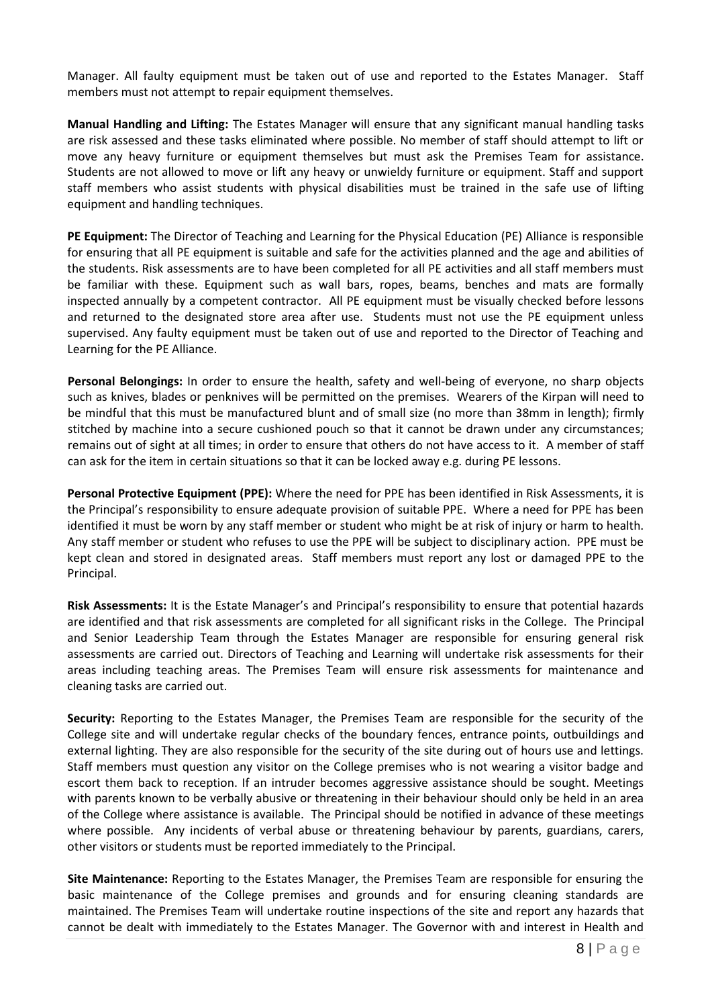Manager. All faulty equipment must be taken out of use and reported to the Estates Manager. Staff members must not attempt to repair equipment themselves.

**Manual Handling and Lifting:** The Estates Manager will ensure that any significant manual handling tasks are risk assessed and these tasks eliminated where possible. No member of staff should attempt to lift or move any heavy furniture or equipment themselves but must ask the Premises Team for assistance. Students are not allowed to move or lift any heavy or unwieldy furniture or equipment. Staff and support staff members who assist students with physical disabilities must be trained in the safe use of lifting equipment and handling techniques.

**PE Equipment:** The Director of Teaching and Learning for the Physical Education (PE) Alliance is responsible for ensuring that all PE equipment is suitable and safe for the activities planned and the age and abilities of the students. Risk assessments are to have been completed for all PE activities and all staff members must be familiar with these. Equipment such as wall bars, ropes, beams, benches and mats are formally inspected annually by a competent contractor. All PE equipment must be visually checked before lessons and returned to the designated store area after use. Students must not use the PE equipment unless supervised. Any faulty equipment must be taken out of use and reported to the Director of Teaching and Learning for the PE Alliance.

**Personal Belongings:** In order to ensure the health, safety and well-being of everyone, no sharp objects such as knives, blades or penknives will be permitted on the premises. Wearers of the Kirpan will need to be mindful that this must be manufactured blunt and of small size (no more than 38mm in length); firmly stitched by machine into a secure cushioned pouch so that it cannot be drawn under any circumstances; remains out of sight at all times; in order to ensure that others do not have access to it. A member of staff can ask for the item in certain situations so that it can be locked away e.g. during PE lessons.

**Personal Protective Equipment (PPE):** Where the need for PPE has been identified in Risk Assessments, it is the Principal's responsibility to ensure adequate provision of suitable PPE. Where a need for PPE has been identified it must be worn by any staff member or student who might be at risk of injury or harm to health. Any staff member or student who refuses to use the PPE will be subject to disciplinary action. PPE must be kept clean and stored in designated areas. Staff members must report any lost or damaged PPE to the Principal.

**Risk Assessments:** It is the Estate Manager's and Principal's responsibility to ensure that potential hazards are identified and that risk assessments are completed for all significant risks in the College. The Principal and Senior Leadership Team through the Estates Manager are responsible for ensuring general risk assessments are carried out. Directors of Teaching and Learning will undertake risk assessments for their areas including teaching areas. The Premises Team will ensure risk assessments for maintenance and cleaning tasks are carried out.

**Security:** Reporting to the Estates Manager, the Premises Team are responsible for the security of the College site and will undertake regular checks of the boundary fences, entrance points, outbuildings and external lighting. They are also responsible for the security of the site during out of hours use and lettings. Staff members must question any visitor on the College premises who is not wearing a visitor badge and escort them back to reception. If an intruder becomes aggressive assistance should be sought. Meetings with parents known to be verbally abusive or threatening in their behaviour should only be held in an area of the College where assistance is available. The Principal should be notified in advance of these meetings where possible. Any incidents of verbal abuse or threatening behaviour by parents, guardians, carers, other visitors or students must be reported immediately to the Principal.

**Site Maintenance:** Reporting to the Estates Manager, the Premises Team are responsible for ensuring the basic maintenance of the College premises and grounds and for ensuring cleaning standards are maintained. The Premises Team will undertake routine inspections of the site and report any hazards that cannot be dealt with immediately to the Estates Manager. The Governor with and interest in Health and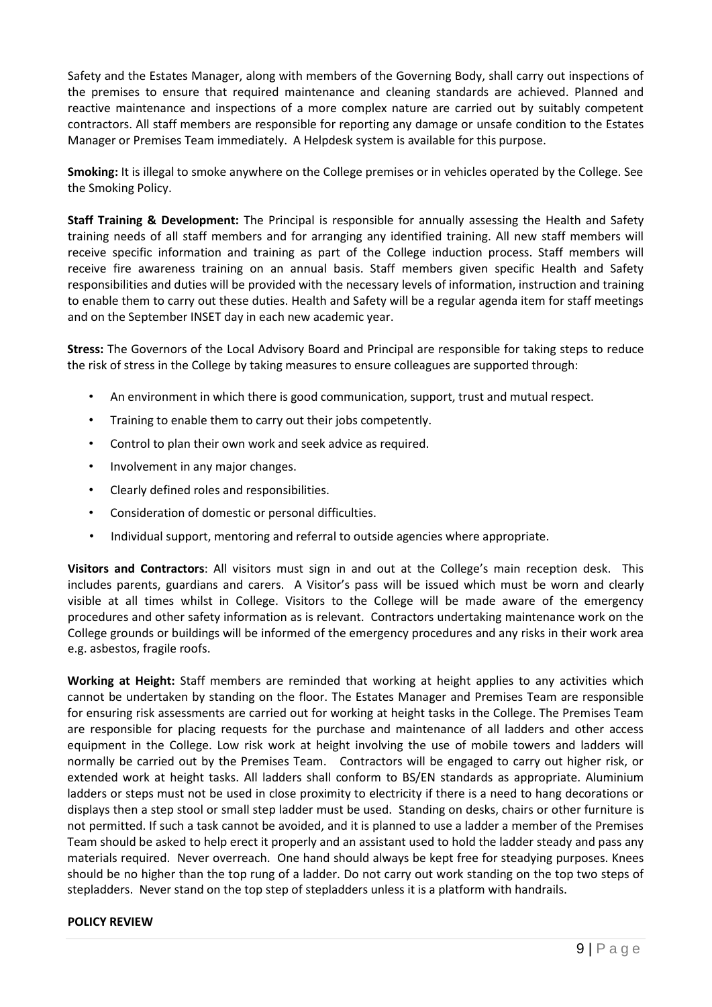Safety and the Estates Manager, along with members of the Governing Body, shall carry out inspections of the premises to ensure that required maintenance and cleaning standards are achieved. Planned and reactive maintenance and inspections of a more complex nature are carried out by suitably competent contractors. All staff members are responsible for reporting any damage or unsafe condition to the Estates Manager or Premises Team immediately. A Helpdesk system is available for this purpose.

**Smoking:** It is illegal to smoke anywhere on the College premises or in vehicles operated by the College. See the Smoking Policy.

**Staff Training & Development:** The Principal is responsible for annually assessing the Health and Safety training needs of all staff members and for arranging any identified training. All new staff members will receive specific information and training as part of the College induction process. Staff members will receive fire awareness training on an annual basis. Staff members given specific Health and Safety responsibilities and duties will be provided with the necessary levels of information, instruction and training to enable them to carry out these duties. Health and Safety will be a regular agenda item for staff meetings and on the September INSET day in each new academic year.

**Stress:** The Governors of the Local Advisory Board and Principal are responsible for taking steps to reduce the risk of stress in the College by taking measures to ensure colleagues are supported through:

- An environment in which there is good communication, support, trust and mutual respect.
- Training to enable them to carry out their jobs competently.
- Control to plan their own work and seek advice as required.
- Involvement in any major changes.
- Clearly defined roles and responsibilities.
- Consideration of domestic or personal difficulties.
- Individual support, mentoring and referral to outside agencies where appropriate.

**Visitors and Contractors**: All visitors must sign in and out at the College's main reception desk. This includes parents, guardians and carers. A Visitor's pass will be issued which must be worn and clearly visible at all times whilst in College. Visitors to the College will be made aware of the emergency procedures and other safety information as is relevant. Contractors undertaking maintenance work on the College grounds or buildings will be informed of the emergency procedures and any risks in their work area e.g. asbestos, fragile roofs.

**Working at Height:** Staff members are reminded that working at height applies to any activities which cannot be undertaken by standing on the floor. The Estates Manager and Premises Team are responsible for ensuring risk assessments are carried out for working at height tasks in the College. The Premises Team are responsible for placing requests for the purchase and maintenance of all ladders and other access equipment in the College. Low risk work at height involving the use of mobile towers and ladders will normally be carried out by the Premises Team. Contractors will be engaged to carry out higher risk, or extended work at height tasks. All ladders shall conform to BS/EN standards as appropriate. Aluminium ladders or steps must not be used in close proximity to electricity if there is a need to hang decorations or displays then a step stool or small step ladder must be used. Standing on desks, chairs or other furniture is not permitted. If such a task cannot be avoided, and it is planned to use a ladder a member of the Premises Team should be asked to help erect it properly and an assistant used to hold the ladder steady and pass any materials required. Never overreach. One hand should always be kept free for steadying purposes. Knees should be no higher than the top rung of a ladder. Do not carry out work standing on the top two steps of stepladders. Never stand on the top step of stepladders unless it is a platform with handrails.

#### **POLICY REVIEW**